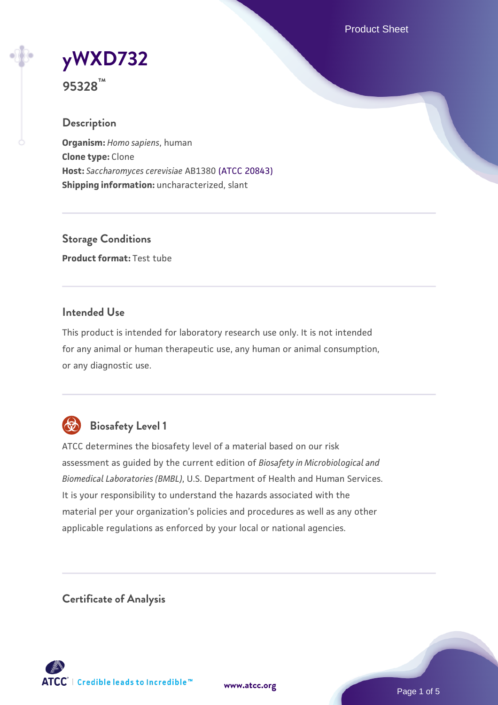Product Sheet

**[yWXD732](https://www.atcc.org/products/95328)**

**95328™**

## **Description**

**Organism:** *Homo sapiens*, human **Clone type:** Clone **Host:** *Saccharomyces cerevisiae* AB1380 [\(ATCC 20843\)](https://www.atcc.org/products/20843) **Shipping information:** uncharacterized, slant

**Storage Conditions Product format:** Test tube

## **Intended Use**

This product is intended for laboratory research use only. It is not intended for any animal or human therapeutic use, any human or animal consumption, or any diagnostic use.



# **Biosafety Level 1**

ATCC determines the biosafety level of a material based on our risk assessment as guided by the current edition of *Biosafety in Microbiological and Biomedical Laboratories (BMBL)*, U.S. Department of Health and Human Services. It is your responsibility to understand the hazards associated with the material per your organization's policies and procedures as well as any other applicable regulations as enforced by your local or national agencies.

**Certificate of Analysis**

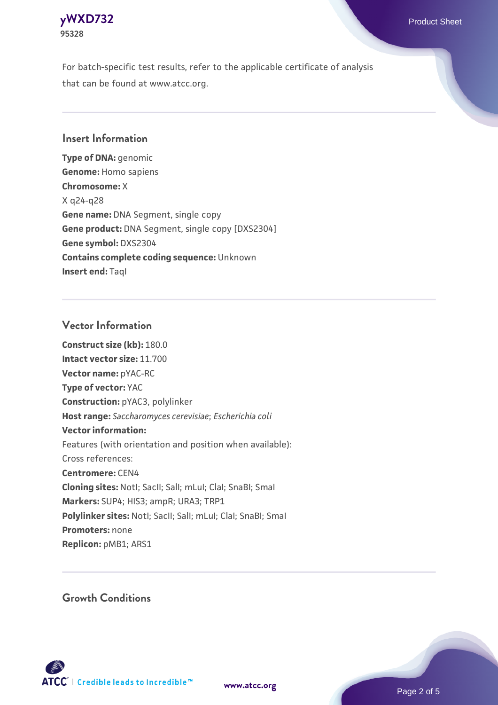

For batch-specific test results, refer to the applicable certificate of analysis that can be found at www.atcc.org.

## **Insert Information**

**Type of DNA:** genomic **Genome:** Homo sapiens **Chromosome:** X X q24-q28 **Gene name:** DNA Segment, single copy **Gene product:** DNA Segment, single copy [DXS2304] **Gene symbol:** DXS2304 **Contains complete coding sequence:** Unknown **Insert end:** TaqI

#### **Vector Information**

**Construct size (kb):** 180.0 **Intact vector size:** 11.700 **Vector name:** pYAC-RC **Type of vector:** YAC **Construction:** pYAC3, polylinker **Host range:** *Saccharomyces cerevisiae*; *Escherichia coli* **Vector information:** Features (with orientation and position when available): Cross references: **Centromere:** CEN4 **Cloning sites:** NotI; SacII; SalI; mLuI; ClaI; SnaBI; SmaI **Markers:** SUP4; HIS3; ampR; URA3; TRP1 Polylinker sites: Notl; SacII; SalI; mLuI; ClaI; SnaBI; SmaI **Promoters:** none **Replicon:** pMB1; ARS1

**Growth Conditions**



**[www.atcc.org](http://www.atcc.org)**

Page 2 of 5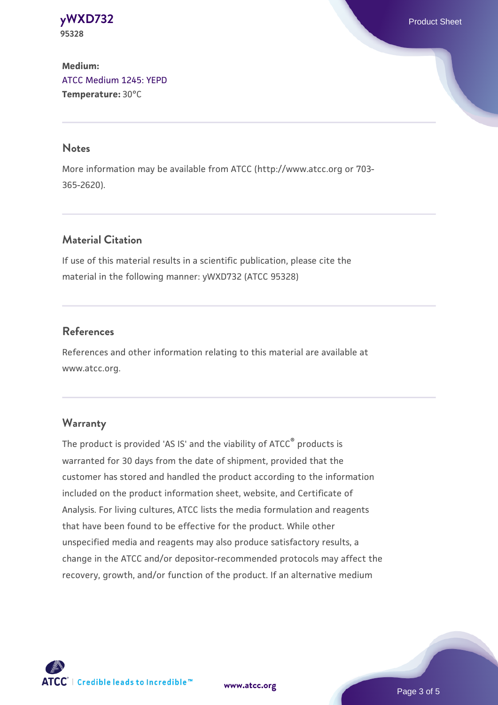**[yWXD732](https://www.atcc.org/products/95328)** Product Sheet **95328**

# **Medium:**  [ATCC Medium 1245: YEPD](https://www.atcc.org/-/media/product-assets/documents/microbial-media-formulations/1/2/4/5/atcc-medium-1245.pdf?rev=705ca55d1b6f490a808a965d5c072196) **Temperature:** 30°C

#### **Notes**

More information may be available from ATCC (http://www.atcc.org or 703- 365-2620).

## **Material Citation**

If use of this material results in a scientific publication, please cite the material in the following manner: yWXD732 (ATCC 95328)

#### **References**

References and other information relating to this material are available at www.atcc.org.

#### **Warranty**

The product is provided 'AS IS' and the viability of ATCC® products is warranted for 30 days from the date of shipment, provided that the customer has stored and handled the product according to the information included on the product information sheet, website, and Certificate of Analysis. For living cultures, ATCC lists the media formulation and reagents that have been found to be effective for the product. While other unspecified media and reagents may also produce satisfactory results, a change in the ATCC and/or depositor-recommended protocols may affect the recovery, growth, and/or function of the product. If an alternative medium

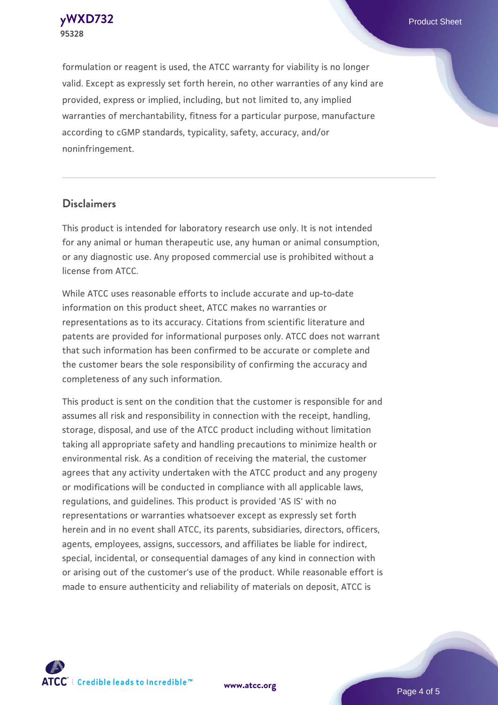

formulation or reagent is used, the ATCC warranty for viability is no longer valid. Except as expressly set forth herein, no other warranties of any kind are provided, express or implied, including, but not limited to, any implied warranties of merchantability, fitness for a particular purpose, manufacture according to cGMP standards, typicality, safety, accuracy, and/or noninfringement.

## **Disclaimers**

This product is intended for laboratory research use only. It is not intended for any animal or human therapeutic use, any human or animal consumption, or any diagnostic use. Any proposed commercial use is prohibited without a license from ATCC.

While ATCC uses reasonable efforts to include accurate and up-to-date information on this product sheet, ATCC makes no warranties or representations as to its accuracy. Citations from scientific literature and patents are provided for informational purposes only. ATCC does not warrant that such information has been confirmed to be accurate or complete and the customer bears the sole responsibility of confirming the accuracy and completeness of any such information.

This product is sent on the condition that the customer is responsible for and assumes all risk and responsibility in connection with the receipt, handling, storage, disposal, and use of the ATCC product including without limitation taking all appropriate safety and handling precautions to minimize health or environmental risk. As a condition of receiving the material, the customer agrees that any activity undertaken with the ATCC product and any progeny or modifications will be conducted in compliance with all applicable laws, regulations, and guidelines. This product is provided 'AS IS' with no representations or warranties whatsoever except as expressly set forth herein and in no event shall ATCC, its parents, subsidiaries, directors, officers, agents, employees, assigns, successors, and affiliates be liable for indirect, special, incidental, or consequential damages of any kind in connection with or arising out of the customer's use of the product. While reasonable effort is made to ensure authenticity and reliability of materials on deposit, ATCC is